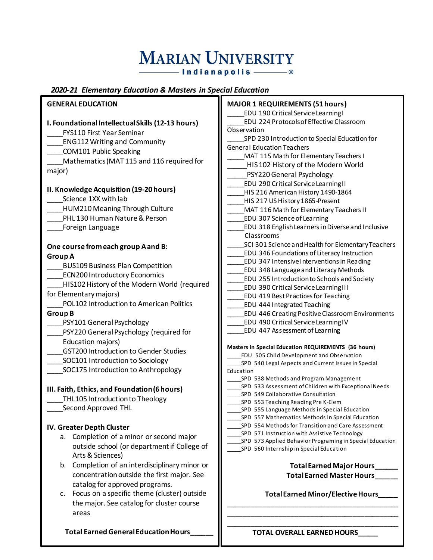## **MARIAN UNIVERSITY** ───── Indianapolis ──── ®

### *2020-21 Elementary Education & Masters in Special Education*

| <b>GENERAL EDUCATION</b>                          | <b>MAJOR 1 REQUIREMENTS (51 hours)</b>                                                                 |  |  |  |
|---------------------------------------------------|--------------------------------------------------------------------------------------------------------|--|--|--|
|                                                   | EDU 190 Critical Service Learning I                                                                    |  |  |  |
| I. Foundational Intellectual Skills (12-13 hours) | EDU 224 Protocols of Effective Classroom                                                               |  |  |  |
| <b>FYS110 First Year Seminar</b>                  | Observation                                                                                            |  |  |  |
| <b>ENG112 Writing and Community</b>               | SPD 230 Introduction to Special Education for                                                          |  |  |  |
| <b>COM101 Public Speaking</b>                     | <b>General Education Teachers</b>                                                                      |  |  |  |
| Mathematics (MAT 115 and 116 required for         | MAT 115 Math for Elementary Teachers I                                                                 |  |  |  |
| major)                                            | HIS102 History of the Modern World                                                                     |  |  |  |
|                                                   | PSY220 General Psychology                                                                              |  |  |  |
| II. Knowledge Acquisition (19-20 hours)           | EDU 290 Critical Service Learning II                                                                   |  |  |  |
| Science 1XX with lab                              | HIS 216 American History 1490-1864                                                                     |  |  |  |
|                                                   | HIS 217 US History 1865-Present                                                                        |  |  |  |
| HUM210 Meaning Through Culture                    | MAT 116 Math for Elementary Teachers II                                                                |  |  |  |
| PHL 130 Human Nature & Person                     | <b>EDU 307 Science of Learning</b>                                                                     |  |  |  |
| Foreign Language                                  | EDU 318 English Learners in Diverse and Inclusive                                                      |  |  |  |
|                                                   | Classrooms                                                                                             |  |  |  |
| One course from each group A and B:               | SCI 301 Science and Health for Elementary Teachers<br>EDU 346 Foundations of Literacy Instruction      |  |  |  |
| <b>Group A</b>                                    | EDU 347 Intensive Interventions in Reading                                                             |  |  |  |
| <b>BUS109 Business Plan Competition</b>           | EDU 348 Language and Literacy Methods                                                                  |  |  |  |
| <b>ECN200 Introductory Economics</b>              | EDU 255 Introduction to Schools and Society                                                            |  |  |  |
| HIS102 History of the Modern World (required      | <b>EDU 390 Critical Service Learning III</b>                                                           |  |  |  |
| for Elementary majors)                            | <b>EDU 419 Best Practices for Teaching</b>                                                             |  |  |  |
| POL102 Introduction to American Politics          | <b>EDU 444 Integrated Teaching</b>                                                                     |  |  |  |
| <b>Group B</b>                                    | <b>EDU 446 Creating Positive Classroom Environments</b>                                                |  |  |  |
| PSY101 General Psychology                         | EDU 490 Critical Service Learning IV                                                                   |  |  |  |
| PSY220 General Psychology (required for           | <b>EDU 447 Assessment of Learning</b>                                                                  |  |  |  |
| Education majors)                                 |                                                                                                        |  |  |  |
| <b>GST200 Introduction to Gender Studies</b>      | Masters in Special Education REQUIREMENTS (36 hours)                                                   |  |  |  |
| SOC101 Introduction to Sociology                  | EDU 505 Child Development and Observation                                                              |  |  |  |
| SOC175 Introduction to Anthropology               | SPD 540 Legal Aspects and Current Issues in Special<br>Education                                       |  |  |  |
|                                                   | SPD 538 Methods and Program Management                                                                 |  |  |  |
|                                                   | SPD 533 Assessment of Children with Exceptional Needs                                                  |  |  |  |
| III. Faith, Ethics, and Foundation (6 hours)      | SPD 549 Collaborative Consultation                                                                     |  |  |  |
| THL105 Introduction to Theology                   | SPD 553 Teaching Reading Pre K-Elem                                                                    |  |  |  |
| Second Approved THL                               | SPD 555 Language Methods in Special Education                                                          |  |  |  |
|                                                   | SPD 557 Mathematics Methods in Special Education<br>SPD 554 Methods for Transition and Care Assessment |  |  |  |
| IV. Greater Depth Cluster                         | SPD 571 Instruction with Assistive Technology                                                          |  |  |  |
| Completion of a minor or second major<br>a.       | SPD 573 Applied Behavior Programing in Special Education                                               |  |  |  |
| outside school (or department if College of       | SPD 560 Internship in Special Education                                                                |  |  |  |
| Arts & Sciences)                                  |                                                                                                        |  |  |  |
| Completion of an interdisciplinary minor or<br>b. | <b>Total Earned Major Hours</b>                                                                        |  |  |  |
| concentration outside the first major. See        | <b>Total Earned Master Hours</b>                                                                       |  |  |  |
| catalog for approved programs.                    |                                                                                                        |  |  |  |
| Focus on a specific theme (cluster) outside<br>c. | Total Earned Minor/Elective Hours_                                                                     |  |  |  |
| the major. See catalog for cluster course         |                                                                                                        |  |  |  |
| areas                                             |                                                                                                        |  |  |  |
|                                                   |                                                                                                        |  |  |  |
| Total Earned General Education Hours              | TOTAL OVERALL EARNED HOURS                                                                             |  |  |  |
|                                                   |                                                                                                        |  |  |  |